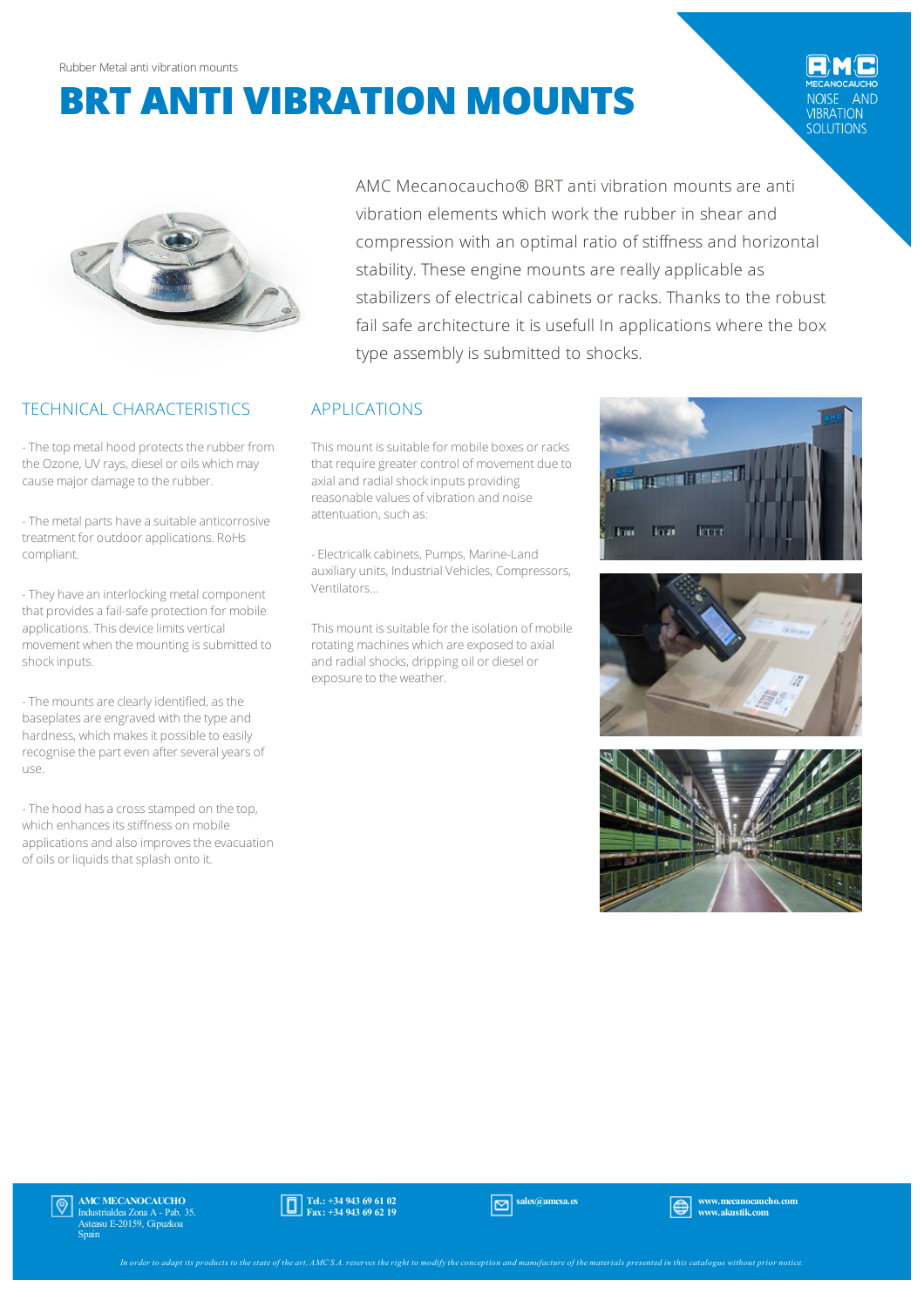# **BRT ANTI VIBRATION MOUNTS**

AND VIBRATION<br>SOLUTIONS



## TECHNICAL CHARACTERISTICS

- The top metal hood protects the rubber from the Ozone, UV rays, diesel or oils which may causemajor damage to the rubber.

- The metal parts have a suitable anticorrosive treatment for outdoorapplications. RoHs compliant.

- They have an interlocking metal component that provides a fail-safe protection for mobile applications. This device limits vertical movement when the mounting is submitted to shockinputs.

- The mounts are clearly identified, as the baseplates are engraved with the type and hardness, which makes it possible to easily recognise the part even after several years of use.

- The hood has a cross stamped on the top, which enhances its stiffness on mobile applications and also improves the evacuation of oils or liquids that splash onto it.

AMC Mecanocaucho® BRT anti vibration mounts are anti vibration elements which work the rubber in shear and compression with an optimal ratio of stiffness and horizontal stability. These engine mounts are really applicable as stabilizers of electrical cabinets or racks. Thanks to the robust fail safe architecture it is usefull In applications where the box type assembly is submitted to shocks.

## APPLICATIONS

This mount is suitable for mobile boxes or racks that require greater control of movement due to axial and radial shock inputs providing reasonable values of vibration and noise attentuation, such as:

- Electricalkcabinets, Pumps, Marine-Land auxiliary units, Industrial Vehicles, Compressors, Ventilators…

This mount is suitable for the isolation of mobile rotating machines which are exposed to axial and radial shocks, dripping oil or diesel or exposure to the weather.







AMC MECANOCAUCHO Industrialdea Zona A - Pab. 35. Asteasu E-20159, Gipuzkoa Spain



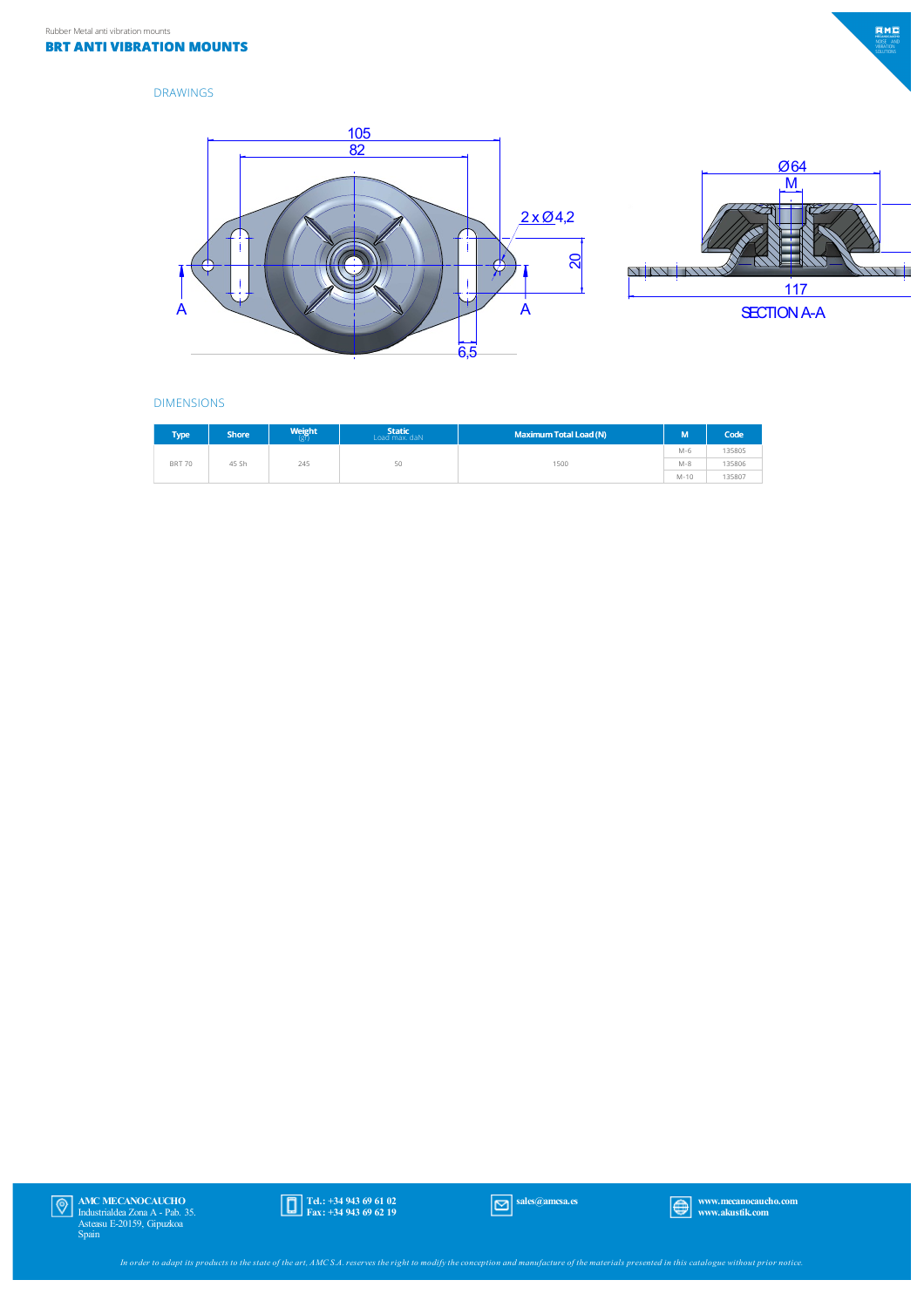

#### DRAWINGS





### DIMENSIONS

| <b>Type</b>   | <b>Shore</b> | Weight<br>l (gr | Static<br>Load max. daN | <b>Maximum Total Load (N)</b> | M       | Code   |
|---------------|--------------|-----------------|-------------------------|-------------------------------|---------|--------|
| <b>BRT 70</b> | 45 Sh        | 245             | 50                      | 1500                          | $M-6$   | 135805 |
|               |              |                 |                         |                               | $M - 8$ | 135806 |
|               |              |                 |                         |                               | $M-10$  | 135807 |

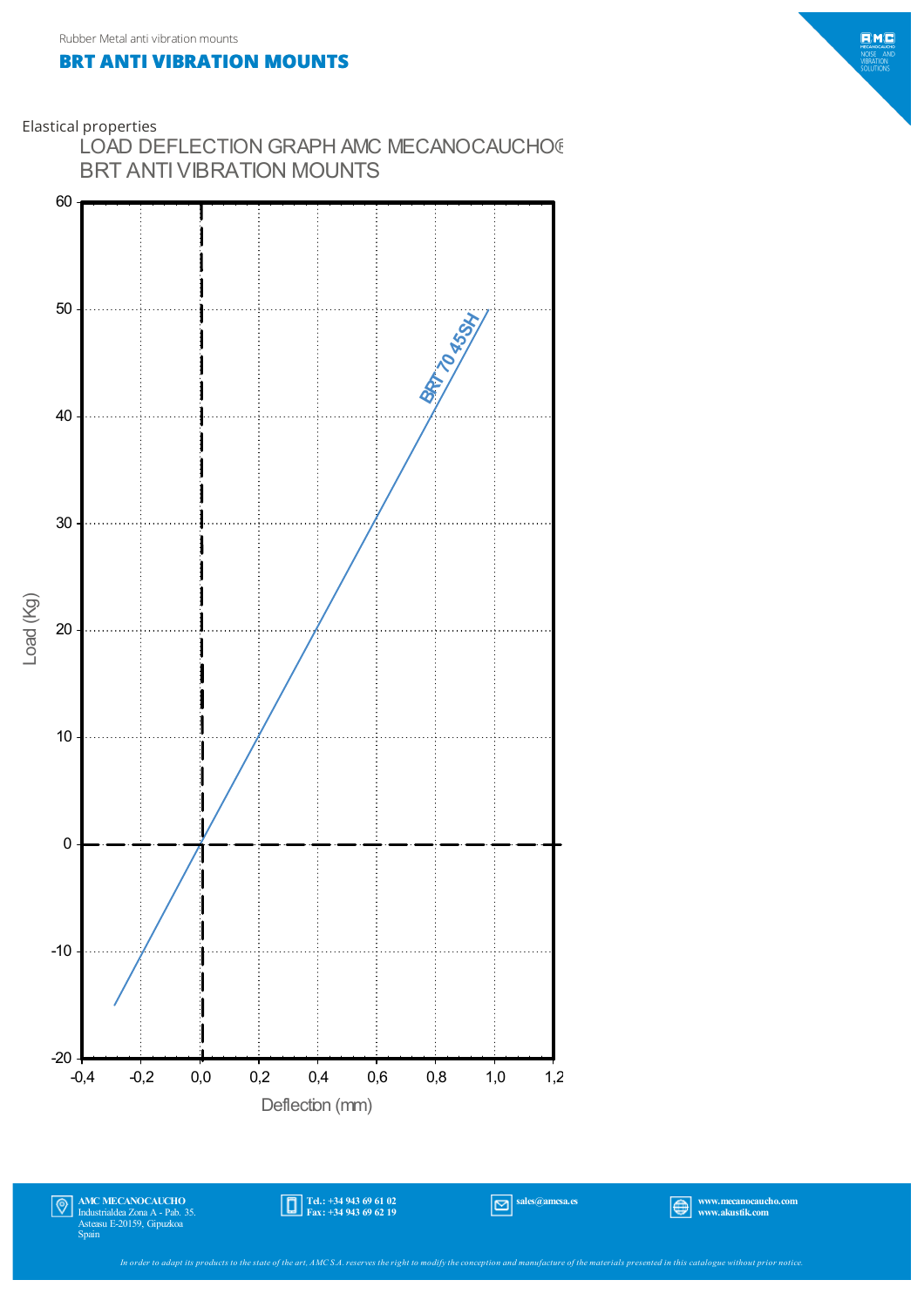## **BRT ANTI VIBRATION MOUNTS**





Tel.: +34 943 69 61 02 Fax: +34 943 69 62 19